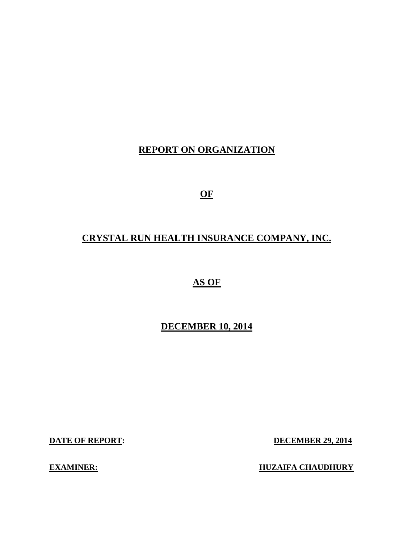# **REPORT ON ORGANIZATION**

**OF** 

# **CRYSTAL RUN HEALTH INSURANCE COMPANY, INC.**

# **AS OF**

# **DECEMBER 10, 2014**

**DATE OF REPORT:** 

**DECEMBER 29, 2014** 

**EXAMINER:** 

**EXAMINE EXAMPLE A CHAUDHURY**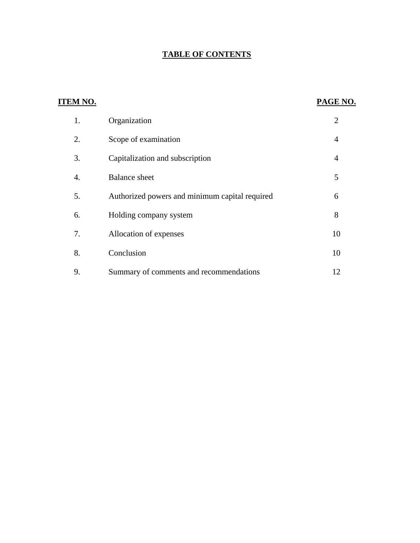# **TABLE OF CONTENTS**

| <b>ITEM NO.</b>  |                                                | PAGE NO.       |
|------------------|------------------------------------------------|----------------|
| 1.               | Organization                                   | $\overline{2}$ |
| 2.               | Scope of examination                           | $\overline{4}$ |
| 3.               | Capitalization and subscription                | $\overline{4}$ |
| $\overline{4}$ . | <b>Balance</b> sheet                           | 5              |
| 5.               | Authorized powers and minimum capital required | 6              |
| 6.               | Holding company system                         | 8              |
| 7.               | Allocation of expenses                         | 10             |
| 8.               | Conclusion                                     | 10             |
| 9.               | Summary of comments and recommendations        | 12             |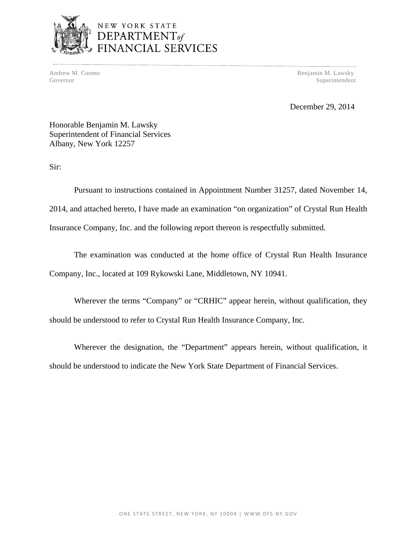

# NEW YORK STATE DEPARTMENT<sub>of</sub><br>DEPARTMENT<sub>of</sub><br>FINANCIAL SERVICES

Andrew M. Cuomo Benjamin M. Lawsky Governor Superintendent Superintendent Superintendent Superintendent Superintendent Superintendent Superintendent Superintendent Superintendent Superintendent Superintendent Superintendent Superintendent Superintendent Sup

December 29, 2014

Honorable Benjamin M. Lawsky Superintendent of Financial Services Albany, New York 12257

Sir:

Pursuant to instructions contained in Appointment Number 31257, dated November 14, 2014, and attached hereto, I have made an examination "on organization" of Crystal Run Health Insurance Company, Inc. and the following report thereon is respectfully submitted.

The examination was conducted at the home office of Crystal Run Health Insurance Company, Inc., located at 109 Rykowski Lane, Middletown, NY 10941.

Wherever the terms "Company" or "CRHIC" appear herein, without qualification, they should be understood to refer to Crystal Run Health Insurance Company, Inc.

Wherever the designation, the "Department" appears herein, without qualification, it should be understood to indicate the New York State Department of Financial Services.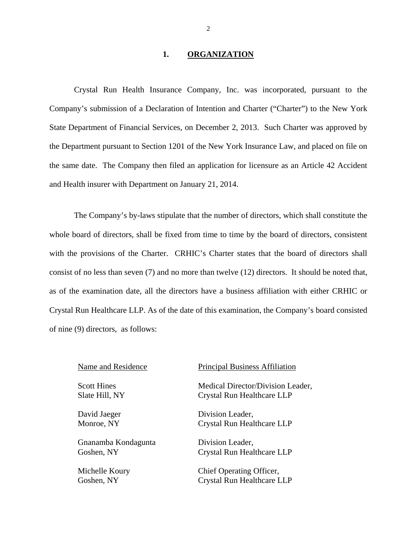#### **1. ORGANIZATION**

Crystal Run Health Insurance Company, Inc. was incorporated, pursuant to the Company's submission of a Declaration of Intention and Charter ("Charter") to the New York State Department of Financial Services, on December 2, 2013. Such Charter was approved by the Department pursuant to Section 1201 of the New York Insurance Law, and placed on file on the same date. The Company then filed an application for licensure as an Article 42 Accident and Health insurer with Department on January 21, 2014.

The Company's by-laws stipulate that the number of directors, which shall constitute the whole board of directors, shall be fixed from time to time by the board of directors, consistent with the provisions of the Charter. CRHIC's Charter states that the board of directors shall consist of no less than seven (7) and no more than twelve (12) directors. It should be noted that, as of the examination date, all the directors have a business affiliation with either CRHIC or Crystal Run Healthcare LLP. As of the date of this examination, the Company's board consisted of nine (9) directors, as follows:

Gnanamba Kondagunta Division Leader,

Name and Residence Principal Business Affiliation

Scott Hines Medical Director/Division Leader, Slate Hill, NY Crystal Run Healthcare LLP

David Jaeger Division Leader, Monroe, NY Crystal Run Healthcare LLP

Goshen, NY Crystal Run Healthcare LLP

Michelle Koury Chief Operating Officer, Goshen, NY Crystal Run Healthcare LLP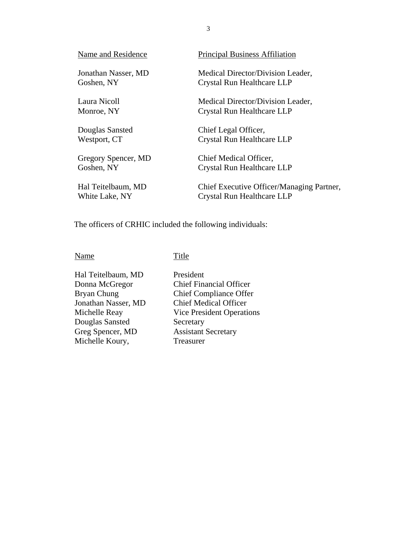| Name and Residence  | <b>Principal Business Affiliation</b>     |
|---------------------|-------------------------------------------|
| Jonathan Nasser, MD | Medical Director/Division Leader,         |
| Goshen, NY          | Crystal Run Healthcare LLP                |
| Laura Nicoll        | Medical Director/Division Leader,         |
| Monroe, NY          | Crystal Run Healthcare LLP                |
| Douglas Sansted     | Chief Legal Officer,                      |
| Westport, CT        | Crystal Run Healthcare LLP                |
| Gregory Spencer, MD | Chief Medical Officer,                    |
| Goshen, NY          | Crystal Run Healthcare LLP                |
| Hal Teitelbaum, MD  | Chief Executive Officer/Managing Partner, |
| White Lake, NY      | Crystal Run Healthcare LLP                |

The officers of CRHIC included the following individuals:

#### Name Title

Hal Teitelbaum, MD President<br>Donna McGregor Chief Fina Douglas Sansted<br>Greg Spencer, MD Michelle Koury,

Donna McGregor Chief Financial Officer Chief Compliance Offer Jonathan Nasser, MD Chief Medical Officer Michelle Reay Vice President Operations<br>
Douglas Sansted Secretary Assistant Secretary<br>Treasurer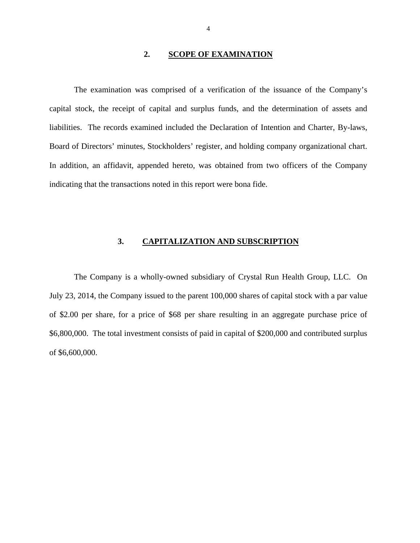#### **2. SCOPE OF EXAMINATION**

<span id="page-5-0"></span>The examination was comprised of a verification of the issuance of the Company's capital stock, the receipt of capital and surplus funds, and the determination of assets and liabilities. The records examined included the Declaration of Intention and Charter, By-laws, Board of Directors' minutes, Stockholders' register, and holding company organizational chart. In addition, an affidavit, appended hereto, was obtained from two officers of the Company indicating that the transactions noted in this report were bona fide.

#### **3. CAPITALIZATION AND SUBSCRIPTION**

The Company is a wholly-owned subsidiary of Crystal Run Health Group, LLC. On July 23, 2014, the Company issued to the parent 100,000 shares of capital stock with a par value of \$2.00 per share, for a price of \$68 per share resulting in an aggregate purchase price of \$6,800,000. The total investment consists of paid in capital of \$200,000 and contributed surplus of \$6,600,000.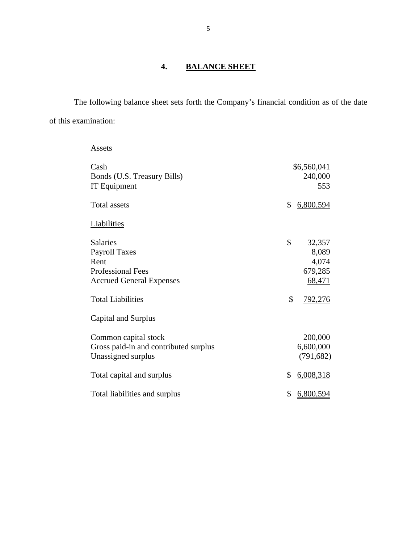# **4. BALANCE SHEET**

The following balance sheet sets forth the Company's financial condition as of the date of this examination:

| Assets                                                                                                                                                                   |          |                                                                 |
|--------------------------------------------------------------------------------------------------------------------------------------------------------------------------|----------|-----------------------------------------------------------------|
| Cash<br>Bonds (U.S. Treasury Bills)<br><b>IT Equipment</b>                                                                                                               |          | \$6,560,041<br>240,000<br>553                                   |
| <b>Total assets</b>                                                                                                                                                      | \$       | 6,800,594                                                       |
| <b>Liabilities</b>                                                                                                                                                       |          |                                                                 |
| <b>Salaries</b><br><b>Payroll Taxes</b><br>Rent<br><b>Professional Fees</b><br><b>Accrued General Expenses</b><br><b>Total Liabilities</b><br><b>Capital and Surplus</b> | \$<br>\$ | 32,357<br>8,089<br>4,074<br>679,285<br>68,471<br><u>792,276</u> |
| Common capital stock<br>Gross paid-in and contributed surplus<br>Unassigned surplus                                                                                      |          | 200,000<br>6,600,000<br>(791, 682)                              |
| Total capital and surplus                                                                                                                                                | \$       | 6,008,318                                                       |
| Total liabilities and surplus                                                                                                                                            | \$       | 6,800,594                                                       |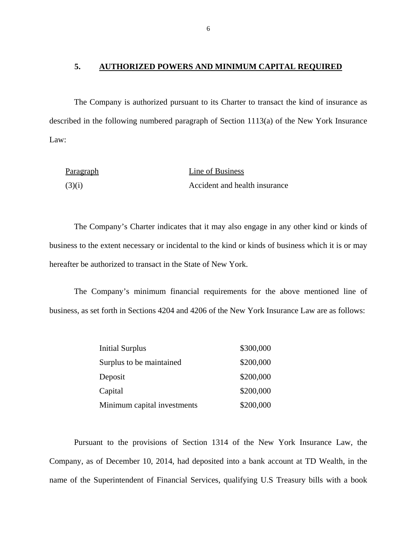#### **5. AUTHORIZED POWERS AND MINIMUM CAPITAL REQUIRED**

The Company is authorized pursuant to its Charter to transact the kind of insurance as described in the following numbered paragraph of Section 1113(a) of the New York Insurance Law:

| Paragraph | Line of Business              |
|-----------|-------------------------------|
| (3)(i)    | Accident and health insurance |

The Company's Charter indicates that it may also engage in any other kind or kinds of business to the extent necessary or incidental to the kind or kinds of business which it is or may hereafter be authorized to transact in the State of New York.

The Company's minimum financial requirements for the above mentioned line of business, as set forth in Sections 4204 and 4206 of the New York Insurance Law are as follows:

| <b>Initial Surplus</b>      | \$300,000 |
|-----------------------------|-----------|
| Surplus to be maintained    | \$200,000 |
| Deposit                     | \$200,000 |
| Capital                     | \$200,000 |
| Minimum capital investments | \$200,000 |

Pursuant to the provisions of Section 1314 of the New York Insurance Law, the Company, as of December 10, 2014, had deposited into a bank account at TD Wealth, in the name of the Superintendent of Financial Services, qualifying U.S Treasury bills with a book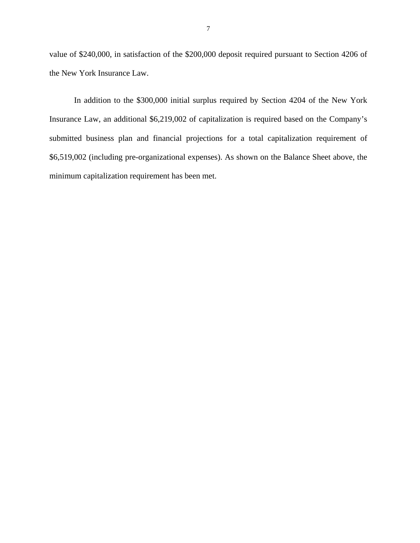value of \$240,000, in satisfaction of the \$200,000 deposit required pursuant to Section 4206 of the New York Insurance Law.

In addition to the \$300,000 initial surplus required by Section 4204 of the New York Insurance Law, an additional \$6,219,002 of capitalization is required based on the Company's submitted business plan and financial projections for a total capitalization requirement of \$6,519,002 (including pre-organizational expenses). As shown on the Balance Sheet above, the minimum capitalization requirement has been met.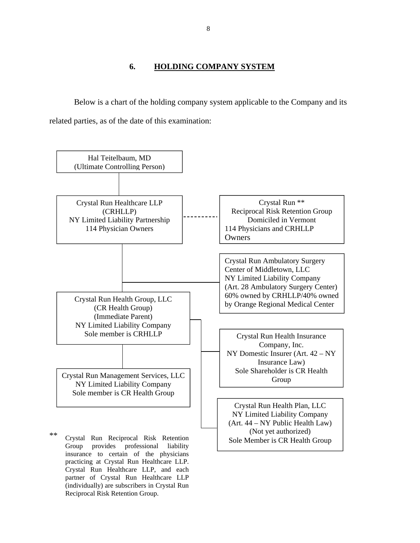**6. HOLDING COMPANY SYSTEM** 

<span id="page-9-0"></span>Below is a chart of the holding company system applicable to the Company and its related parties, as of the date of this examination:



Reciprocal Risk Retention Group.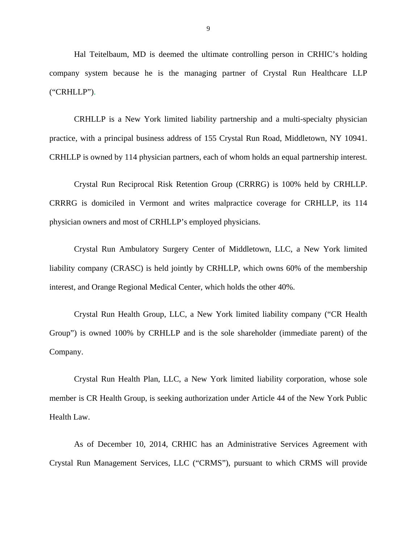Hal Teitelbaum, MD is deemed the ultimate controlling person in CRHIC's holding company system because he is the managing partner of Crystal Run Healthcare LLP ("CRHLLP").

CRHLLP is a New York limited liability partnership and a multi-specialty physician practice, with a principal business address of 155 Crystal Run Road, Middletown, NY 10941. CRHLLP is owned by 114 physician partners, each of whom holds an equal partnership interest.

Crystal Run Reciprocal Risk Retention Group (CRRRG) is 100% held by CRHLLP. CRRRG is domiciled in Vermont and writes malpractice coverage for CRHLLP, its 114 physician owners and most of CRHLLP's employed physicians.

Crystal Run Ambulatory Surgery Center of Middletown, LLC, a New York limited liability company (CRASC) is held jointly by CRHLLP, which owns 60% of the membership interest, and Orange Regional Medical Center, which holds the other 40%.

Crystal Run Health Group, LLC, a New York limited liability company ("CR Health Group") is owned 100% by CRHLLP and is the sole shareholder (immediate parent) of the Company.

Crystal Run Health Plan, LLC, a New York limited liability corporation, whose sole member is CR Health Group, is seeking authorization under Article 44 of the New York Public Health Law.

As of December 10, 2014, CRHIC has an Administrative Services Agreement with Crystal Run Management Services, LLC ("CRMS"), pursuant to which CRMS will provide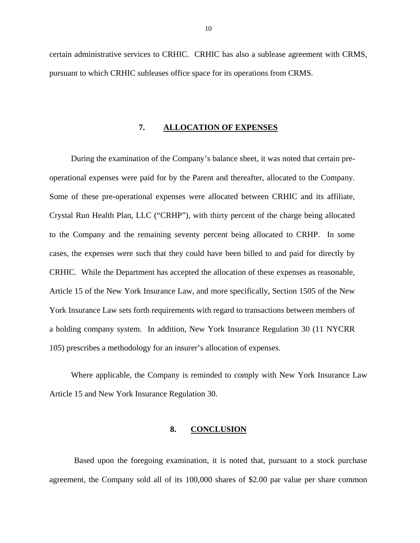<span id="page-11-0"></span>certain administrative services to CRHIC. CRHIC has also a sublease agreement with CRMS, pursuant to which CRHIC subleases office space for its operations from CRMS.

#### **7. ALLOCATION OF EXPENSES**

During the examination of the Company's balance sheet, it was noted that certain preoperational expenses were paid for by the Parent and thereafter, allocated to the Company. Some of these pre-operational expenses were allocated between CRHIC and its affiliate, Crystal Run Health Plan, LLC ("CRHP"), with thirty percent of the charge being allocated to the Company and the remaining seventy percent being allocated to CRHP. In some cases, the expenses were such that they could have been billed to and paid for directly by CRHIC. While the Department has accepted the allocation of these expenses as reasonable, Article 15 of the New York Insurance Law, and more specifically, Section 1505 of the New York Insurance Law sets forth requirements with regard to transactions between members of a holding company system. In addition, New York Insurance Regulation 30 (11 NYCRR 105) prescribes a methodology for an insurer's allocation of expenses.

Where applicable, the Company is reminded to comply with New York Insurance Law Article 15 and New York Insurance Regulation 30.

#### **8. CONCLUSION**

Based upon the foregoing examination, it is noted that, pursuant to a stock purchase agreement, the Company sold all of its 100,000 shares of \$2.00 par value per share common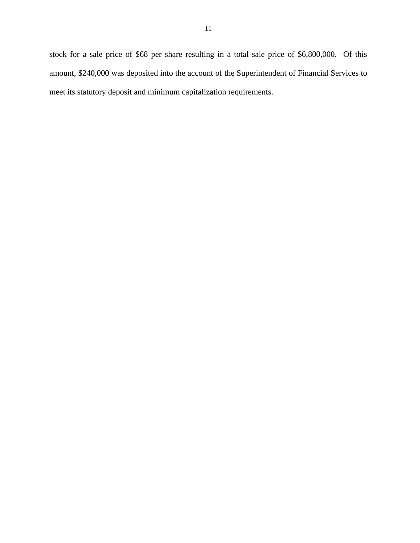stock for a sale price of \$68 per share resulting in a total sale price of \$6,800,000. Of this amount, \$240,000 was deposited into the account of the Superintendent of Financial Services to meet its statutory deposit and minimum capitalization requirements.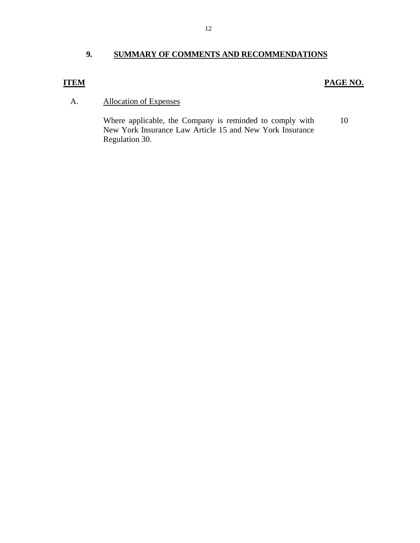## <span id="page-13-0"></span>**9. SUMMARY OF COMMENTS AND RECOMMENDATIONS**

## **ITEM PAGE NO.**

## A. Allocation of Expenses

Where applicable, the Company is reminded to comply with 10 New York Insurance Law Article 15 and New York Insurance Regulation 30.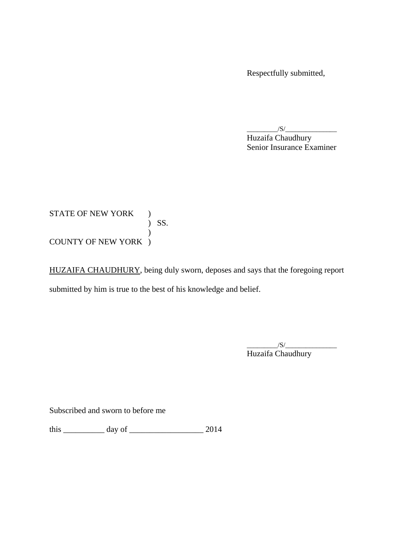Respectfully submitted,

 $/S/$ Huzaifa Chaudhury Senior Insurance Examiner

#### ) SS. STATE OF NEW YORK )  $\mathcal{L}$ COUNTY OF NEW YORK )

HUZAIFA CHAUDHURY, being duly sworn, deposes and says that the foregoing report submitted by him is true to the best of his knowledge and belief.

> $\frac{1}{\sqrt{S}}$ Huzaifa Chaudhury

Subscribed and sworn to before me

this \_\_\_\_\_\_\_\_\_\_ day of \_\_\_\_\_\_\_\_\_\_\_\_\_\_\_\_\_\_ 2014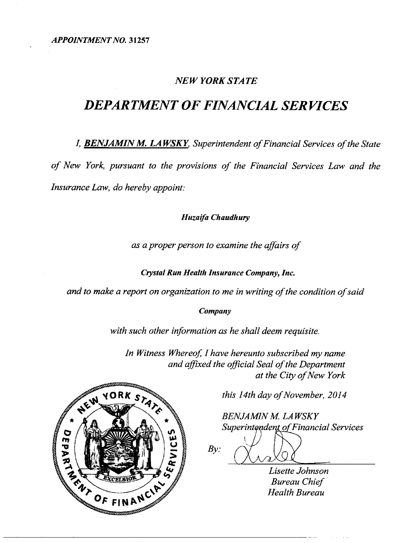## **NEW YORK STATE**

# **DEPARTMENT OF FINANCIAL SERVICES**

I, **BENJAMIN M. LAWSKY**, Superintendent of Financial Services of the State of New York, pursuant to the provisions of the Financial Services Law and the Insurance Law, do hereby appoint:

#### Huzaifa Chaudhury

as a proper person to examine the affairs of

Crystal Run Health Insurance Company, Inc.

and to make a report on organization to me in writing of the condition of said

Company

with such other information as he shall deem requisite.

In Witness Whereof, I have hereunto subscribed my name and affixed the official Seal of the Department at the City of New York



this 14th day of November, 2014

**BENJAMIN M. LAWSKY** Superintendent of Financial Services

 $By:$ 

Lisette Johnson **Bureau Chief Health Bureau**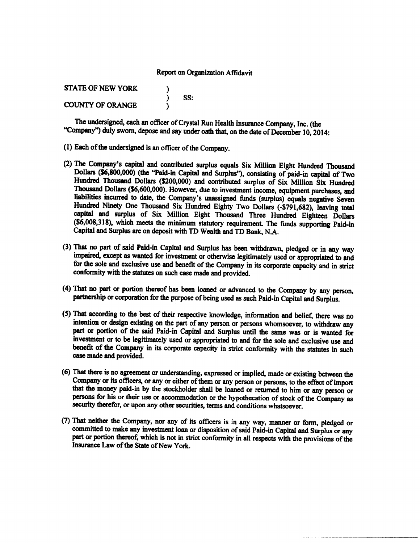#### Report on Organization Affidavit

| <b>STATE OF NEW YORK</b> |     |
|--------------------------|-----|
|                          | SS: |
| <b>COUNTY OF ORANGE</b>  |     |

The undersigned, each an officer of Crystal Run Health Insurance Company, Inc. (the "Company") duly sworn, depose and say under oath that, on the date of December 10, 2014:

- (1) Each of the undersigned is an officer of the Company.
- (2) The Company's capital and contributed surplus equals Six Million Eight Hundred Thousand Dollars (\$6,800,000) (the "Paid-in Capital and Surplus"), consisting of paid-in capital of Two Hundred Thousand Dollars (\$200,000) and contributed surplus of Six Million Six Hundred Thousand Dollars (\$6,600,000). However, due to investment income, equipment purchases, and liabilities incurred to date, the Company's unassigned funds (surplus) equals negative Seven Hundred Ninety One Thousand Six Hundred Eighty Two Dollars (-\$791,682), leaving total capital and surplus of Six Million Eight Thousand Three Hundred Eighteen Dollars (\$6,008,318), which meets the minimum statutory requirement. The funds supporting Paid-in Capital and Surplus are on deposit with TD Wealth and TD Bank, N.A.
- (3) That no part of said Paid-in Capital and Surplus has been withdrawn, pledged or in any way impaired, except as wanted for investment or otherwise legitimately used or appropriated to and for the sole and exclusive use and benefit of the Company in its corporate capacity and in strict conformity with the statutes on such case made and provided.
- (4) That no part or portion thereof has been loaned or advanced to the Company by any person, partnership or corporation for the purpose of being used as such Paid-in Capital and Surplus.
- (5) That according to the best of their respective knowledge, information and belief, there was no intention or design existing on the part of any person or persons whomsoever, to withdraw any part or portion of the said Paid-in Capital and Surplus until the same was or is wanted for investment or to be legitimately used or appropriated to and for the sole and exclusive use and benefit of the Company in its corporate capacity in strict conformity with the statutes in such case made and provided.
- (6) That there is no agreement or understanding, expressed or implied, made or existing between the Company or its officers, or any or either of them or any person or persons, to the effect of import that the money paid-in by the stockholder shall be loaned or returned to him or any person or persons for his or their use or accommodation or the hypothecation of stock of the Company as security therefor, or upon any other securities, terms and conditions whatsoever.
- (7) That neither the Company, nor any of its officers is in any way, manner or form, pledged or committed to make any investment loan or disposition of said Paid-in Capital and Surplus or any part or portion thereof, which is not in strict conformity in all respects with the provisions of the Insurance Law of the State of New York.